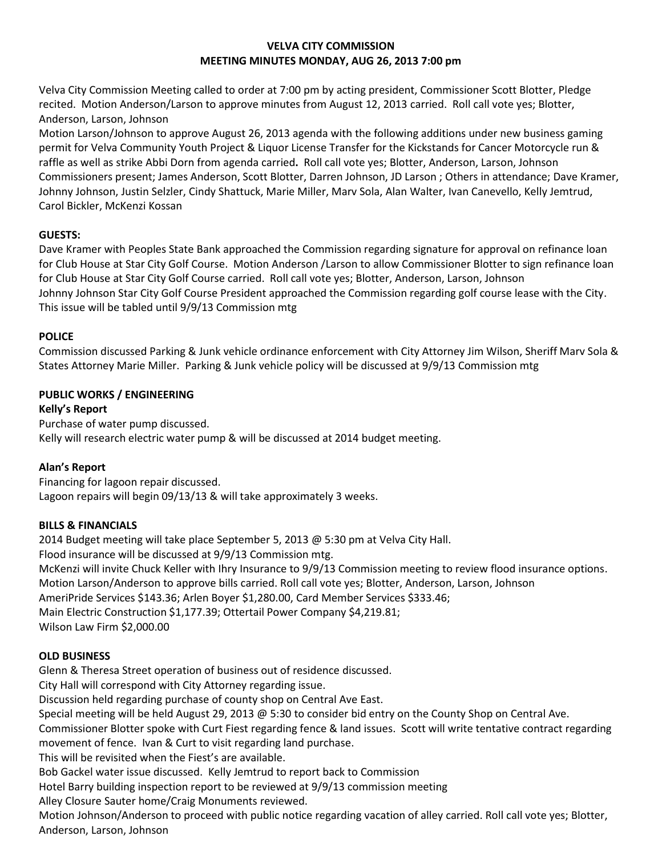## **VELVA CITY COMMISSION MEETING MINUTES MONDAY, AUG 26, 2013 7:00 pm**

Velva City Commission Meeting called to order at 7:00 pm by acting president, Commissioner Scott Blotter, Pledge recited. Motion Anderson/Larson to approve minutes from August 12, 2013 carried. Roll call vote yes; Blotter, Anderson, Larson, Johnson

Motion Larson/Johnson to approve August 26, 2013 agenda with the following additions under new business gaming permit for Velva Community Youth Project & Liquor License Transfer for the Kickstands for Cancer Motorcycle run & raffle as well as strike Abbi Dorn from agenda carried**.** Roll call vote yes; Blotter, Anderson, Larson, Johnson Commissioners present; James Anderson, Scott Blotter, Darren Johnson, JD Larson ; Others in attendance; Dave Kramer, Johnny Johnson, Justin Selzler, Cindy Shattuck, Marie Miller, Marv Sola, Alan Walter, Ivan Canevello, Kelly Jemtrud, Carol Bickler, McKenzi Kossan

## **GUESTS:**

Dave Kramer with Peoples State Bank approached the Commission regarding signature for approval on refinance loan for Club House at Star City Golf Course. Motion Anderson /Larson to allow Commissioner Blotter to sign refinance loan for Club House at Star City Golf Course carried. Roll call vote yes; Blotter, Anderson, Larson, Johnson Johnny Johnson Star City Golf Course President approached the Commission regarding golf course lease with the City. This issue will be tabled until 9/9/13 Commission mtg

# **POLICE**

Commission discussed Parking & Junk vehicle ordinance enforcement with City Attorney Jim Wilson, Sheriff Marv Sola & States Attorney Marie Miller. Parking & Junk vehicle policy will be discussed at 9/9/13 Commission mtg

# **PUBLIC WORKS / ENGINEERING**

**Kelly's Report** Purchase of water pump discussed. Kelly will research electric water pump & will be discussed at 2014 budget meeting.

# **Alan's Report**

Financing for lagoon repair discussed. Lagoon repairs will begin 09/13/13 & will take approximately 3 weeks.

# **BILLS & FINANCIALS**

2014 Budget meeting will take place September 5, 2013 @ 5:30 pm at Velva City Hall.

Flood insurance will be discussed at 9/9/13 Commission mtg.

McKenzi will invite Chuck Keller with Ihry Insurance to 9/9/13 Commission meeting to review flood insurance options. Motion Larson/Anderson to approve bills carried. Roll call vote yes; Blotter, Anderson, Larson, Johnson

AmeriPride Services \$143.36; Arlen Boyer \$1,280.00, Card Member Services \$333.46;

Main Electric Construction \$1,177.39; Ottertail Power Company \$4,219.81; Wilson Law Firm \$2,000.00

# **OLD BUSINESS**

Glenn & Theresa Street operation of business out of residence discussed.

City Hall will correspond with City Attorney regarding issue.

Discussion held regarding purchase of county shop on Central Ave East.

Special meeting will be held August 29, 2013 @ 5:30 to consider bid entry on the County Shop on Central Ave.

Commissioner Blotter spoke with Curt Fiest regarding fence & land issues. Scott will write tentative contract regarding movement of fence. Ivan & Curt to visit regarding land purchase.

This will be revisited when the Fiest's are available.

Bob Gackel water issue discussed. Kelly Jemtrud to report back to Commission

Hotel Barry building inspection report to be reviewed at 9/9/13 commission meeting

Alley Closure Sauter home/Craig Monuments reviewed.

Motion Johnson/Anderson to proceed with public notice regarding vacation of alley carried. Roll call vote yes; Blotter, Anderson, Larson, Johnson